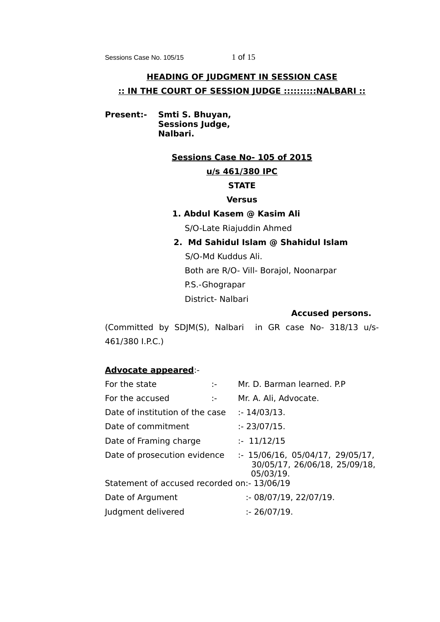Sessions Case No. 105/15 1 of 15

# **HEADING OF JUDGMENT IN SESSION CASE :: IN THE COURT OF SESSION JUDGE ::::::::::NALBARI ::**

**Present:- Smti S. Bhuyan, Sessions Judge, Nalbari.**

## **Sessions Case No- 105 of 2015**

# **u/s 461/380 IPC**

# **STATE**

# **Versus**

# **1. Abdul Kasem @ Kasim Ali**

S/O-Late Riajuddin Ahmed

# **2. Md Sahidul Islam @ Shahidul Islam**

 S/O-Md Kuddus Ali. Both are R/O- Vill- Borajol, Noonarpar P.S.-Ghograpar District- Nalbari

## **Accused persons.**

(Committed by SDJM(S), Nalbari in GR case No- 318/13 u/s-461/380 I.P.C.)

# **Advocate appeared**:-

| For the state                               | $\sim$         | Mr. D. Barman learned. P.P.                                                   |
|---------------------------------------------|----------------|-------------------------------------------------------------------------------|
| For the accused                             | $\mathbb{R}^n$ | Mr. A. Ali, Advocate.                                                         |
| Date of institution of the case             |                | : 14/03/13.                                                                   |
| Date of commitment                          |                | : 23/07/15.                                                                   |
| Date of Framing charge                      |                | : 11/12/15                                                                    |
| Date of prosecution evidence                |                | : 15/06/16, 05/04/17, 29/05/17,<br>30/05/17, 26/06/18, 25/09/18,<br>05/03/19. |
| Statement of accused recorded on:- 13/06/19 |                |                                                                               |
| Date of Argument                            |                | : 08/07/19, 22/07/19.                                                         |
| Judgment delivered                          |                | : 26/07/19.                                                                   |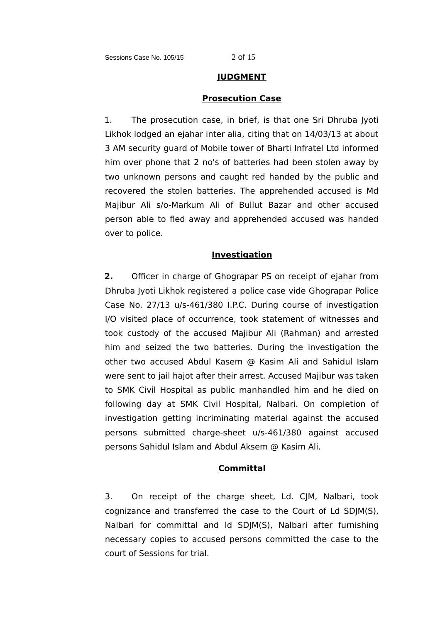#### **JUDGMENT**

#### **Prosecution Case**

1. The prosecution case, in brief, is that one Sri Dhruba Jyoti Likhok lodged an ejahar inter alia, citing that on 14/03/13 at about 3 AM security guard of Mobile tower of Bharti Infratel Ltd informed him over phone that 2 no's of batteries had been stolen away by two unknown persons and caught red handed by the public and recovered the stolen batteries. The apprehended accused is Md Majibur Ali s/o-Markum Ali of Bullut Bazar and other accused person able to fled away and apprehended accused was handed over to police.

# **Investigation**

**2.** Officer in charge of Ghograpar PS on receipt of ejahar from Dhruba Jyoti Likhok registered a police case vide Ghograpar Police Case No. 27/13 u/s-461/380 I.P.C. During course of investigation I/O visited place of occurrence, took statement of witnesses and took custody of the accused Majibur Ali (Rahman) and arrested him and seized the two batteries. During the investigation the other two accused Abdul Kasem @ Kasim Ali and Sahidul Islam were sent to jail hajot after their arrest. Accused Majibur was taken to SMK Civil Hospital as public manhandled him and he died on following day at SMK Civil Hospital, Nalbari. On completion of investigation getting incriminating material against the accused persons submitted charge-sheet u/s-461/380 against accused persons Sahidul Islam and Abdul Aksem @ Kasim Ali.

# **Committal**

3. On receipt of the charge sheet, Ld. CJM, Nalbari, took cognizance and transferred the case to the Court of Ld SDJM(S), Nalbari for committal and ld SDJM(S), Nalbari after furnishing necessary copies to accused persons committed the case to the court of Sessions for trial.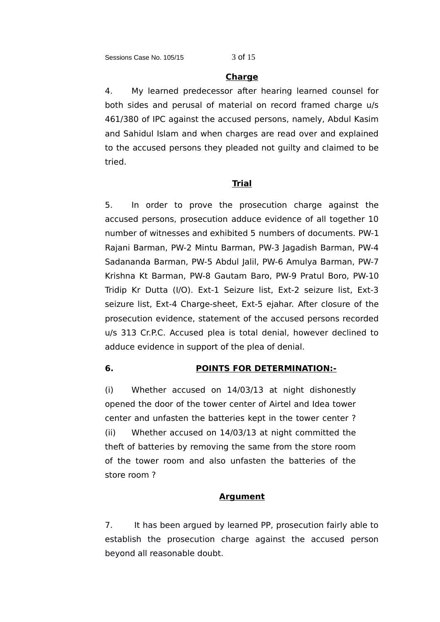#### **Charge**

4. My learned predecessor after hearing learned counsel for both sides and perusal of material on record framed charge u/s 461/380 of IPC against the accused persons, namely, Abdul Kasim and Sahidul Islam and when charges are read over and explained to the accused persons they pleaded not guilty and claimed to be tried.

### **Trial**

5. In order to prove the prosecution charge against the accused persons, prosecution adduce evidence of all together 10 number of witnesses and exhibited 5 numbers of documents. PW-1 Rajani Barman, PW-2 Mintu Barman, PW-3 Jagadish Barman, PW-4 Sadananda Barman, PW-5 Abdul Jalil, PW-6 Amulya Barman, PW-7 Krishna Kt Barman, PW-8 Gautam Baro, PW-9 Pratul Boro, PW-10 Tridip Kr Dutta (I/O). Ext-1 Seizure list, Ext-2 seizure list, Ext-3 seizure list, Ext-4 Charge-sheet, Ext-5 ejahar. After closure of the prosecution evidence, statement of the accused persons recorded u/s 313 Cr.P.C. Accused plea is total denial, however declined to adduce evidence in support of the plea of denial.

### **6. POINTS FOR DETERMINATION:-**

(i) Whether accused on 14/03/13 at night dishonestly opened the door of the tower center of Airtel and Idea tower center and unfasten the batteries kept in the tower center ? (ii) Whether accused on 14/03/13 at night committed the theft of batteries by removing the same from the store room of the tower room and also unfasten the batteries of the store room ?

#### **Argument**

7. It has been argued by learned PP, prosecution fairly able to establish the prosecution charge against the accused person beyond all reasonable doubt.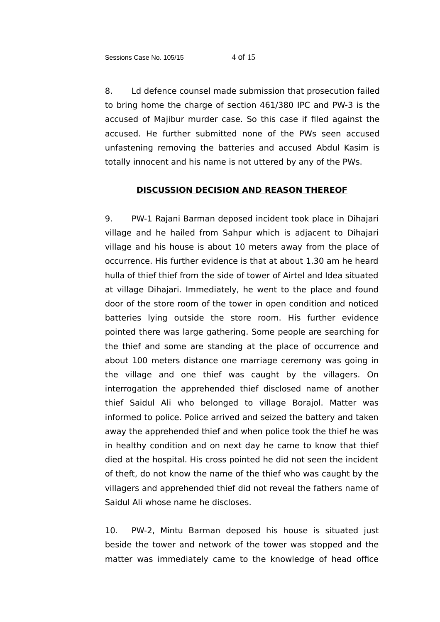8. Ld defence counsel made submission that prosecution failed to bring home the charge of section 461/380 IPC and PW-3 is the accused of Majibur murder case. So this case if filed against the accused. He further submitted none of the PWs seen accused unfastening removing the batteries and accused Abdul Kasim is totally innocent and his name is not uttered by any of the PWs.

# **DISCUSSION DECISION AND REASON THEREOF**

9. PW-1 Rajani Barman deposed incident took place in Dihajari village and he hailed from Sahpur which is adjacent to Dihajari village and his house is about 10 meters away from the place of occurrence. His further evidence is that at about 1.30 am he heard hulla of thief thief from the side of tower of Airtel and Idea situated at village Dihajari. Immediately, he went to the place and found door of the store room of the tower in open condition and noticed batteries lying outside the store room. His further evidence pointed there was large gathering. Some people are searching for the thief and some are standing at the place of occurrence and about 100 meters distance one marriage ceremony was going in the village and one thief was caught by the villagers. On interrogation the apprehended thief disclosed name of another thief Saidul Ali who belonged to village Borajol. Matter was informed to police. Police arrived and seized the battery and taken away the apprehended thief and when police took the thief he was in healthy condition and on next day he came to know that thief died at the hospital. His cross pointed he did not seen the incident of theft, do not know the name of the thief who was caught by the villagers and apprehended thief did not reveal the fathers name of Saidul Ali whose name he discloses.

10. PW-2, Mintu Barman deposed his house is situated just beside the tower and network of the tower was stopped and the matter was immediately came to the knowledge of head office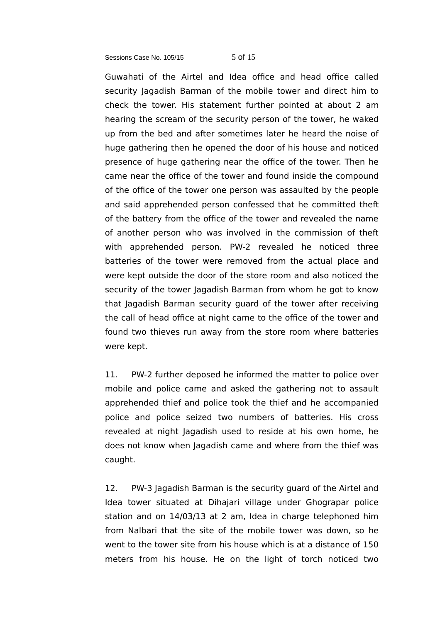Sessions Case No. 105/15 5 of 15

Guwahati of the Airtel and Idea office and head office called security Jagadish Barman of the mobile tower and direct him to check the tower. His statement further pointed at about 2 am hearing the scream of the security person of the tower, he waked up from the bed and after sometimes later he heard the noise of huge gathering then he opened the door of his house and noticed presence of huge gathering near the office of the tower. Then he came near the office of the tower and found inside the compound of the office of the tower one person was assaulted by the people and said apprehended person confessed that he committed theft of the battery from the office of the tower and revealed the name of another person who was involved in the commission of theft with apprehended person. PW-2 revealed he noticed three batteries of the tower were removed from the actual place and were kept outside the door of the store room and also noticed the security of the tower Jagadish Barman from whom he got to know that Jagadish Barman security guard of the tower after receiving the call of head office at night came to the office of the tower and found two thieves run away from the store room where batteries were kept.

11. PW-2 further deposed he informed the matter to police over mobile and police came and asked the gathering not to assault apprehended thief and police took the thief and he accompanied police and police seized two numbers of batteries. His cross revealed at night Jagadish used to reside at his own home, he does not know when Jagadish came and where from the thief was caught.

12. PW-3 Jagadish Barman is the security guard of the Airtel and Idea tower situated at Dihajari village under Ghograpar police station and on 14/03/13 at 2 am, Idea in charge telephoned him from Nalbari that the site of the mobile tower was down, so he went to the tower site from his house which is at a distance of 150 meters from his house. He on the light of torch noticed two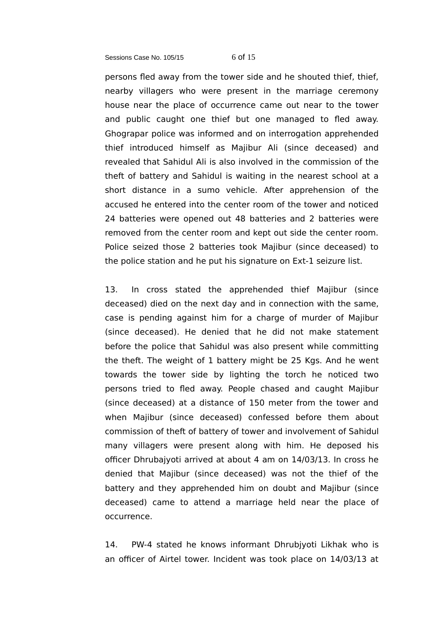#### Sessions Case No. 105/15 6 of 15

persons fled away from the tower side and he shouted thief, thief, nearby villagers who were present in the marriage ceremony house near the place of occurrence came out near to the tower and public caught one thief but one managed to fled away. Ghograpar police was informed and on interrogation apprehended thief introduced himself as Majibur Ali (since deceased) and revealed that Sahidul Ali is also involved in the commission of the theft of battery and Sahidul is waiting in the nearest school at a short distance in a sumo vehicle. After apprehension of the accused he entered into the center room of the tower and noticed 24 batteries were opened out 48 batteries and 2 batteries were removed from the center room and kept out side the center room. Police seized those 2 batteries took Majibur (since deceased) to the police station and he put his signature on Ext-1 seizure list.

13. In cross stated the apprehended thief Majibur (since deceased) died on the next day and in connection with the same, case is pending against him for a charge of murder of Majibur (since deceased). He denied that he did not make statement before the police that Sahidul was also present while committing the theft. The weight of 1 battery might be 25 Kgs. And he went towards the tower side by lighting the torch he noticed two persons tried to fled away. People chased and caught Majibur (since deceased) at a distance of 150 meter from the tower and when Majibur (since deceased) confessed before them about commission of theft of battery of tower and involvement of Sahidul many villagers were present along with him. He deposed his officer Dhrubajyoti arrived at about 4 am on 14/03/13. In cross he denied that Majibur (since deceased) was not the thief of the battery and they apprehended him on doubt and Majibur (since deceased) came to attend a marriage held near the place of occurrence.

14. PW-4 stated he knows informant Dhrubjyoti Likhak who is an officer of Airtel tower. Incident was took place on 14/03/13 at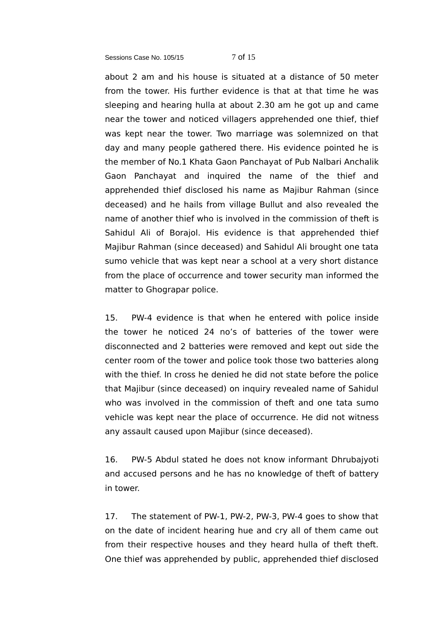Sessions Case No. 105/15 7 of 15

about 2 am and his house is situated at a distance of 50 meter from the tower. His further evidence is that at that time he was sleeping and hearing hulla at about 2.30 am he got up and came near the tower and noticed villagers apprehended one thief, thief was kept near the tower. Two marriage was solemnized on that day and many people gathered there. His evidence pointed he is the member of No.1 Khata Gaon Panchayat of Pub Nalbari Anchalik Gaon Panchayat and inquired the name of the thief and apprehended thief disclosed his name as Majibur Rahman (since deceased) and he hails from village Bullut and also revealed the name of another thief who is involved in the commission of theft is Sahidul Ali of Borajol. His evidence is that apprehended thief Majibur Rahman (since deceased) and Sahidul Ali brought one tata sumo vehicle that was kept near a school at a very short distance from the place of occurrence and tower security man informed the matter to Ghograpar police.

15. PW-4 evidence is that when he entered with police inside the tower he noticed 24 no's of batteries of the tower were disconnected and 2 batteries were removed and kept out side the center room of the tower and police took those two batteries along with the thief. In cross he denied he did not state before the police that Majibur (since deceased) on inquiry revealed name of Sahidul who was involved in the commission of theft and one tata sumo vehicle was kept near the place of occurrence. He did not witness any assault caused upon Majibur (since deceased).

16. PW-5 Abdul stated he does not know informant Dhrubajyoti and accused persons and he has no knowledge of theft of battery in tower.

17. The statement of PW-1, PW-2, PW-3, PW-4 goes to show that on the date of incident hearing hue and cry all of them came out from their respective houses and they heard hulla of theft theft. One thief was apprehended by public, apprehended thief disclosed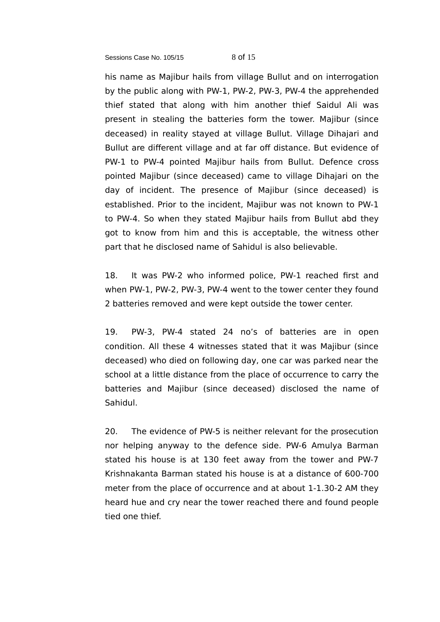#### Sessions Case No. 105/15 8 of 15

his name as Majibur hails from village Bullut and on interrogation by the public along with PW-1, PW-2, PW-3, PW-4 the apprehended thief stated that along with him another thief Saidul Ali was present in stealing the batteries form the tower. Majibur (since deceased) in reality stayed at village Bullut. Village Dihajari and Bullut are different village and at far off distance. But evidence of PW-1 to PW-4 pointed Majibur hails from Bullut. Defence cross pointed Majibur (since deceased) came to village Dihajari on the day of incident. The presence of Majibur (since deceased) is established. Prior to the incident, Majibur was not known to PW-1 to PW-4. So when they stated Majibur hails from Bullut abd they got to know from him and this is acceptable, the witness other part that he disclosed name of Sahidul is also believable.

18. It was PW-2 who informed police, PW-1 reached first and when PW-1, PW-2, PW-3, PW-4 went to the tower center they found 2 batteries removed and were kept outside the tower center.

19. PW-3, PW-4 stated 24 no's of batteries are in open condition. All these 4 witnesses stated that it was Majibur (since deceased) who died on following day, one car was parked near the school at a little distance from the place of occurrence to carry the batteries and Majibur (since deceased) disclosed the name of Sahidul.

20. The evidence of PW-5 is neither relevant for the prosecution nor helping anyway to the defence side. PW-6 Amulya Barman stated his house is at 130 feet away from the tower and PW-7 Krishnakanta Barman stated his house is at a distance of 600-700 meter from the place of occurrence and at about 1-1.30-2 AM they heard hue and cry near the tower reached there and found people tied one thief.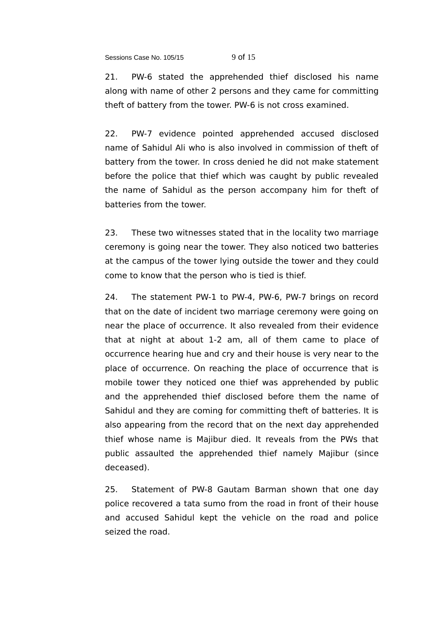Sessions Case No. 105/15 9 of 15

21. PW-6 stated the apprehended thief disclosed his name along with name of other 2 persons and they came for committing theft of battery from the tower. PW-6 is not cross examined.

22. PW-7 evidence pointed apprehended accused disclosed name of Sahidul Ali who is also involved in commission of theft of battery from the tower. In cross denied he did not make statement before the police that thief which was caught by public revealed the name of Sahidul as the person accompany him for theft of batteries from the tower.

23. These two witnesses stated that in the locality two marriage ceremony is going near the tower. They also noticed two batteries at the campus of the tower lying outside the tower and they could come to know that the person who is tied is thief.

24. The statement PW-1 to PW-4, PW-6, PW-7 brings on record that on the date of incident two marriage ceremony were going on near the place of occurrence. It also revealed from their evidence that at night at about 1-2 am, all of them came to place of occurrence hearing hue and cry and their house is very near to the place of occurrence. On reaching the place of occurrence that is mobile tower they noticed one thief was apprehended by public and the apprehended thief disclosed before them the name of Sahidul and they are coming for committing theft of batteries. It is also appearing from the record that on the next day apprehended thief whose name is Majibur died. It reveals from the PWs that public assaulted the apprehended thief namely Majibur (since deceased).

25. Statement of PW-8 Gautam Barman shown that one day police recovered a tata sumo from the road in front of their house and accused Sahidul kept the vehicle on the road and police seized the road.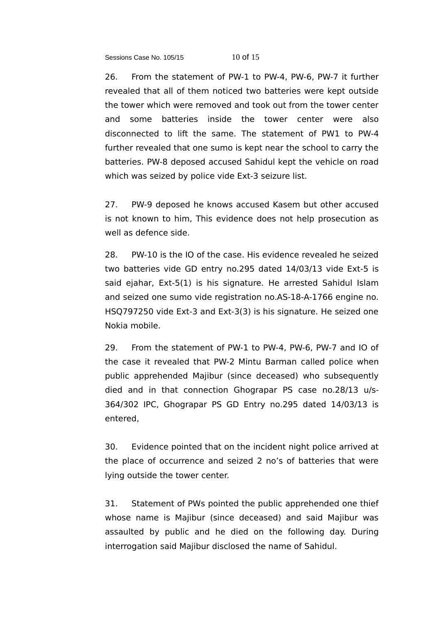Sessions Case No. 105/15 10 of 15

26. From the statement of PW-1 to PW-4, PW-6, PW-7 it further revealed that all of them noticed two batteries were kept outside the tower which were removed and took out from the tower center and some batteries inside the tower center were also disconnected to lift the same. The statement of PW1 to PW-4 further revealed that one sumo is kept near the school to carry the batteries. PW-8 deposed accused Sahidul kept the vehicle on road which was seized by police vide Ext-3 seizure list.

27. PW-9 deposed he knows accused Kasem but other accused is not known to him, This evidence does not help prosecution as well as defence side.

28. PW-10 is the IO of the case. His evidence revealed he seized two batteries vide GD entry no.295 dated 14/03/13 vide Ext-5 is said ejahar, Ext-5(1) is his signature. He arrested Sahidul Islam and seized one sumo vide registration no.AS-18-A-1766 engine no. HSQ797250 vide Ext-3 and Ext-3(3) is his signature. He seized one Nokia mobile.

29. From the statement of PW-1 to PW-4, PW-6, PW-7 and IO of the case it revealed that PW-2 Mintu Barman called police when public apprehended Majibur (since deceased) who subsequently died and in that connection Ghograpar PS case no.28/13 u/s-364/302 IPC, Ghograpar PS GD Entry no.295 dated 14/03/13 is entered,

30. Evidence pointed that on the incident night police arrived at the place of occurrence and seized 2 no's of batteries that were lying outside the tower center.

31. Statement of PWs pointed the public apprehended one thief whose name is Majibur (since deceased) and said Majibur was assaulted by public and he died on the following day. During interrogation said Majibur disclosed the name of Sahidul.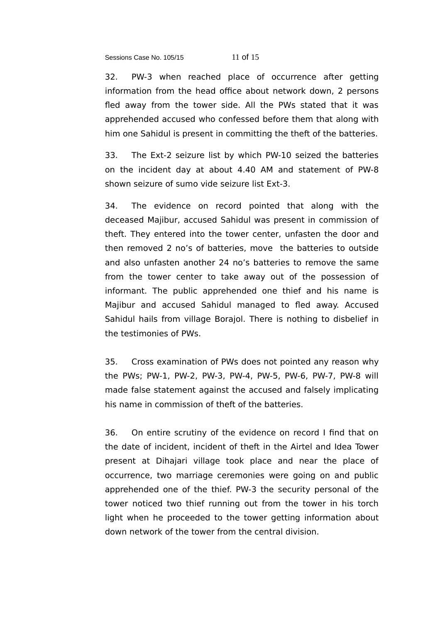Sessions Case No. 105/15 11 of 15

32. PW-3 when reached place of occurrence after getting information from the head office about network down, 2 persons fled away from the tower side. All the PWs stated that it was apprehended accused who confessed before them that along with him one Sahidul is present in committing the theft of the batteries.

33. The Ext-2 seizure list by which PW-10 seized the batteries on the incident day at about 4.40 AM and statement of PW-8 shown seizure of sumo vide seizure list Ext-3.

34. The evidence on record pointed that along with the deceased Majibur, accused Sahidul was present in commission of theft. They entered into the tower center, unfasten the door and then removed 2 no's of batteries, move the batteries to outside and also unfasten another 24 no's batteries to remove the same from the tower center to take away out of the possession of informant. The public apprehended one thief and his name is Majibur and accused Sahidul managed to fled away. Accused Sahidul hails from village Borajol. There is nothing to disbelief in the testimonies of PWs.

35. Cross examination of PWs does not pointed any reason why the PWs; PW-1, PW-2, PW-3, PW-4, PW-5, PW-6, PW-7, PW-8 will made false statement against the accused and falsely implicating his name in commission of theft of the batteries.

36. On entire scrutiny of the evidence on record I find that on the date of incident, incident of theft in the Airtel and Idea Tower present at Dihajari village took place and near the place of occurrence, two marriage ceremonies were going on and public apprehended one of the thief. PW-3 the security personal of the tower noticed two thief running out from the tower in his torch light when he proceeded to the tower getting information about down network of the tower from the central division.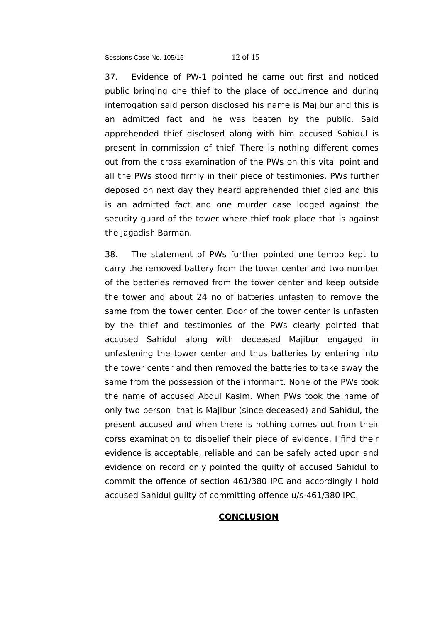Sessions Case No. 105/15 12 of 15

37. Evidence of PW-1 pointed he came out first and noticed public bringing one thief to the place of occurrence and during interrogation said person disclosed his name is Majibur and this is an admitted fact and he was beaten by the public. Said apprehended thief disclosed along with him accused Sahidul is present in commission of thief. There is nothing different comes out from the cross examination of the PWs on this vital point and all the PWs stood firmly in their piece of testimonies. PWs further deposed on next day they heard apprehended thief died and this is an admitted fact and one murder case lodged against the security guard of the tower where thief took place that is against the Jagadish Barman.

38. The statement of PWs further pointed one tempo kept to carry the removed battery from the tower center and two number of the batteries removed from the tower center and keep outside the tower and about 24 no of batteries unfasten to remove the same from the tower center. Door of the tower center is unfasten by the thief and testimonies of the PWs clearly pointed that accused Sahidul along with deceased Majibur engaged in unfastening the tower center and thus batteries by entering into the tower center and then removed the batteries to take away the same from the possession of the informant. None of the PWs took the name of accused Abdul Kasim. When PWs took the name of only two person that is Majibur (since deceased) and Sahidul, the present accused and when there is nothing comes out from their corss examination to disbelief their piece of evidence, I find their evidence is acceptable, reliable and can be safely acted upon and evidence on record only pointed the guilty of accused Sahidul to commit the offence of section 461/380 IPC and accordingly I hold accused Sahidul guilty of committing offence u/s-461/380 IPC.

# **CONCLUSION**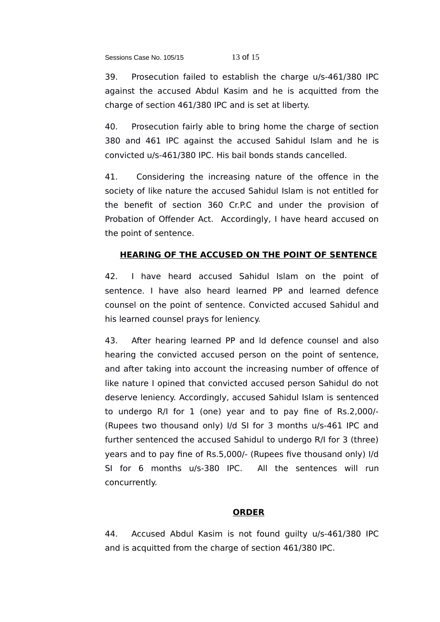39. Prosecution failed to establish the charge u/s-461/380 IPC against the accused Abdul Kasim and he is acquitted from the charge of section 461/380 IPC and is set at liberty.

40. Prosecution fairly able to bring home the charge of section 380 and 461 IPC against the accused Sahidul Islam and he is convicted u/s-461/380 IPC. His bail bonds stands cancelled.

41. Considering the increasing nature of the offence in the society of like nature the accused Sahidul Islam is not entitled for the benefit of section 360 Cr.P.C and under the provision of Probation of Offender Act. Accordingly, I have heard accused on the point of sentence.

# **HEARING OF THE ACCUSED ON THE POINT OF SENTENCE**

42. I have heard accused Sahidul Islam on the point of sentence. I have also heard learned PP and learned defence counsel on the point of sentence. Convicted accused Sahidul and his learned counsel prays for leniency.

43. After hearing learned PP and ld defence counsel and also hearing the convicted accused person on the point of sentence, and after taking into account the increasing number of offence of like nature I opined that convicted accused person Sahidul do not deserve leniency. Accordingly, accused Sahidul Islam is sentenced to undergo R/I for 1 (one) year and to pay fine of Rs.2,000/- (Rupees two thousand only) I/d SI for 3 months u/s-461 IPC and further sentenced the accused Sahidul to undergo R/I for 3 (three) years and to pay fine of Rs.5,000/- (Rupees five thousand only) I/d SI for 6 months u/s-380 IPC. All the sentences will run concurrently.

# **ORDER**

44. Accused Abdul Kasim is not found guilty u/s-461/380 IPC and is acquitted from the charge of section 461/380 IPC.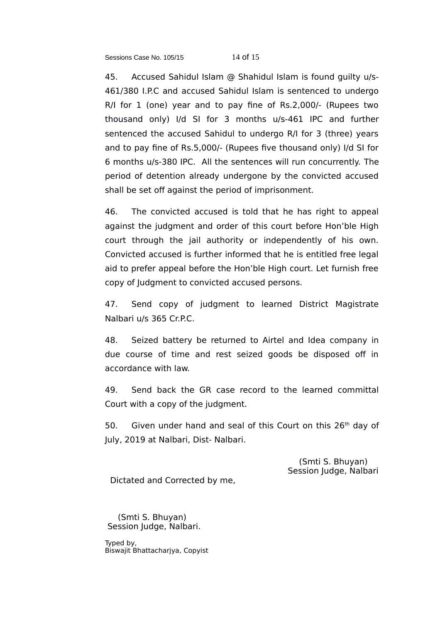Sessions Case No. 105/15 14 of 15

45. Accused Sahidul Islam @ Shahidul Islam is found guilty u/s-461/380 I.P.C and accused Sahidul Islam is sentenced to undergo R/I for 1 (one) year and to pay fine of Rs.2,000/- (Rupees two thousand only) I/d SI for 3 months u/s-461 IPC and further sentenced the accused Sahidul to undergo R/I for 3 (three) years and to pay fine of Rs.5,000/- (Rupees five thousand only) I/d SI for 6 months u/s-380 IPC. All the sentences will run concurrently. The period of detention already undergone by the convicted accused shall be set off against the period of imprisonment.

46. The convicted accused is told that he has right to appeal against the judgment and order of this court before Hon'ble High court through the jail authority or independently of his own. Convicted accused is further informed that he is entitled free legal aid to prefer appeal before the Hon'ble High court. Let furnish free copy of Judgment to convicted accused persons.

47. Send copy of judgment to learned District Magistrate Nalbari u/s 365 Cr.P.C.

48. Seized battery be returned to Airtel and Idea company in due course of time and rest seized goods be disposed off in accordance with law.

49. Send back the GR case record to the learned committal Court with a copy of the judgment.

50. Given under hand and seal of this Court on this  $26<sup>th</sup>$  day of July, 2019 at Nalbari, Dist- Nalbari.

> (Smti S. Bhuyan) Session Judge, Nalbari

Dictated and Corrected by me,

 (Smti S. Bhuyan) Session Judge, Nalbari.

Typed by, Biswajit Bhattacharjya, Copyist